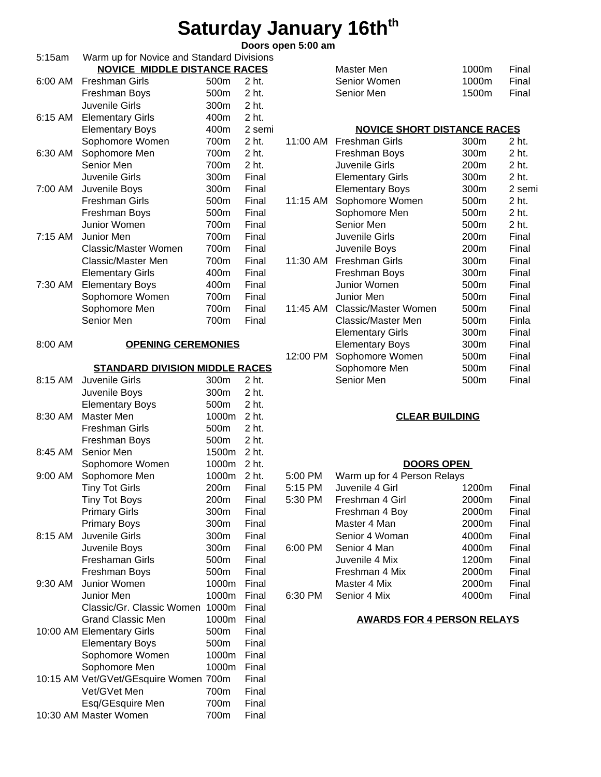## **Saturday January 16thth**

### **Doors open 5:00 am**

| 5:15am    | Warm up for Novice and Standard Divisions           |       |        |          |                                    |       |        |
|-----------|-----------------------------------------------------|-------|--------|----------|------------------------------------|-------|--------|
|           | <b>NOVICE MIDDLE DISTANCE RACES</b>                 |       |        |          | Master Men                         | 1000m | Final  |
| 6:00 AM   | <b>Freshman Girls</b>                               | 500m  | 2 ht.  |          | Senior Women                       | 1000m | Final  |
|           | Freshman Boys                                       | 500m  | 2 ht.  |          | Senior Men                         | 1500m | Final  |
|           | Juvenile Girls                                      | 300m  | 2 ht.  |          |                                    |       |        |
| 6:15 AM   | <b>Elementary Girls</b>                             | 400m  | 2 ht.  |          |                                    |       |        |
|           | <b>Elementary Boys</b>                              | 400m  | 2 semi |          | <b>NOVICE SHORT DISTANCE RACES</b> |       |        |
|           | Sophomore Women                                     | 700m  | 2 ht.  | 11:00 AM | <b>Freshman Girls</b>              | 300m  | 2 ht.  |
| 6:30 AM   | Sophomore Men                                       | 700m  | 2 ht.  |          | Freshman Boys                      | 300m  | 2 ht.  |
|           | Senior Men                                          | 700m  | 2 ht.  |          | Juvenile Girls                     | 200m  | 2 ht.  |
|           | Juvenile Girls                                      | 300m  | Final  |          | <b>Elementary Girls</b>            | 300m  | 2 ht.  |
| 7:00 AM   | Juvenile Boys                                       | 300m  | Final  |          | <b>Elementary Boys</b>             | 300m  | 2 semi |
|           | <b>Freshman Girls</b>                               | 500m  | Final  | 11:15 AM | Sophomore Women                    | 500m  | 2 ht.  |
|           | Freshman Boys                                       | 500m  | Final  |          | Sophomore Men                      | 500m  | 2 ht.  |
|           | Junior Women                                        | 700m  | Final  |          | Senior Men                         | 500m  | 2 ht.  |
| $7:15$ AM | Junior Men                                          | 700m  | Final  |          | Juvenile Girls                     | 200m  | Final  |
|           | <b>Classic/Master Women</b>                         | 700m  | Final  |          | Juvenile Boys                      | 200m  | Final  |
|           | Classic/Master Men                                  | 700m  | Final  | 11:30 AM | <b>Freshman Girls</b>              | 300m  | Final  |
|           | <b>Elementary Girls</b>                             | 400m  | Final  |          | Freshman Boys                      | 300m  | Final  |
| 7:30 AM   | <b>Elementary Boys</b>                              | 400m  | Final  |          | Junior Women                       | 500m  | Final  |
|           | Sophomore Women                                     | 700m  | Final  |          | Junior Men                         | 500m  | Final  |
|           | Sophomore Men                                       | 700m  | Final  | 11:45 AM | <b>Classic/Master Women</b>        | 500m  | Final  |
|           | Senior Men                                          | 700m  | Final  |          | Classic/Master Men                 | 500m  | Finla  |
|           |                                                     |       |        |          | <b>Elementary Girls</b>            | 300m  | Final  |
| 8:00 AM   | <b>OPENING CEREMONIES</b>                           |       |        |          | <b>Elementary Boys</b>             | 300m  | Final  |
|           |                                                     |       |        | 12:00 PM | Sophomore Women                    | 500m  | Final  |
|           | <b>STANDARD DIVISION MIDDLE RACES</b>               |       |        |          | Sophomore Men                      | 500m  | Final  |
| 8:15 AM   | Juvenile Girls                                      | 300m  | 2 ht.  |          | Senior Men                         | 500m  | Final  |
|           | Juvenile Boys                                       | 300m  | 2 ht.  |          |                                    |       |        |
|           | <b>Elementary Boys</b>                              | 500m  | 2 ht.  |          |                                    |       |        |
| 8:30 AM   | <b>Master Men</b>                                   | 1000m | 2 ht.  |          | <b>CLEAR BUILDING</b>              |       |        |
|           | <b>Freshman Girls</b>                               | 500m  | 2 ht.  |          |                                    |       |        |
|           | Freshman Boys                                       | 500m  | 2 ht.  |          |                                    |       |        |
| 8:45 AM   | Senior Men                                          | 1500m | 2 ht.  |          |                                    |       |        |
|           | Sophomore Women                                     | 1000m | 2 ht.  |          | <b>DOORS OPEN</b>                  |       |        |
| 9:00 AM   | Sophomore Men                                       | 1000m | 2 ht.  | 5:00 PM  | Warm up for 4 Person Relays        |       |        |
|           | <b>Tiny Tot Girls</b>                               | 200m  | Final  | 5:15 PM  | Juvenile 4 Girl                    | 1200m | Final  |
|           | <b>Tiny Tot Boys</b>                                | 200m  | Final  | 5:30 PM  | Freshman 4 Girl                    | 2000m | Final  |
|           | <b>Primary Girls</b>                                | 300m  | Final  |          | Freshman 4 Boy                     | 2000m | Final  |
|           | <b>Primary Boys</b>                                 | 300m  | Final  |          | Master 4 Man                       | 2000m | Final  |
| 8:15 AM   | Juvenile Girls                                      | 300m  | Final  |          | Senior 4 Woman                     | 4000m | Final  |
|           | Juvenile Boys                                       | 300m  | Final  | 6:00 PM  | Senior 4 Man                       | 4000m | Final  |
|           | Freshaman Girls                                     | 500m  | Final  |          | Juvenile 4 Mix                     | 1200m | Final  |
|           | Freshman Boys                                       | 500m  | Final  |          | Freshman 4 Mix                     | 2000m | Final  |
| 9:30 AM   | Junior Women                                        | 1000m | Final  |          | Master 4 Mix                       | 2000m | Final  |
|           | Junior Men                                          | 1000m | Final  | 6:30 PM  | Senior 4 Mix                       | 4000m | Final  |
|           | Classic/Gr. Classic Women 1000m                     |       | Final  |          |                                    |       |        |
|           | <b>Grand Classic Men</b>                            | 1000m | Final  |          | <b>AWARDS FOR 4 PERSON RELAYS</b>  |       |        |
|           |                                                     | 500m  | Final  |          |                                    |       |        |
|           | 10:00 AM Elementary Girls<br><b>Elementary Boys</b> | 500m  | Final  |          |                                    |       |        |
|           |                                                     | 1000m |        |          |                                    |       |        |
|           | Sophomore Women                                     | 1000m | Final  |          |                                    |       |        |
|           | Sophomore Men                                       |       | Final  |          |                                    |       |        |
|           | 10:15 AM Vet/GVet/GEsquire Women 700m               |       | Final  |          |                                    |       |        |
|           | Vet/GVet Men                                        | 700m  | Final  |          |                                    |       |        |
|           | Esq/GEsquire Men                                    | 700m  | Final  |          |                                    |       |        |
|           | 10:30 AM Master Women                               | 700m  | Final  |          |                                    |       |        |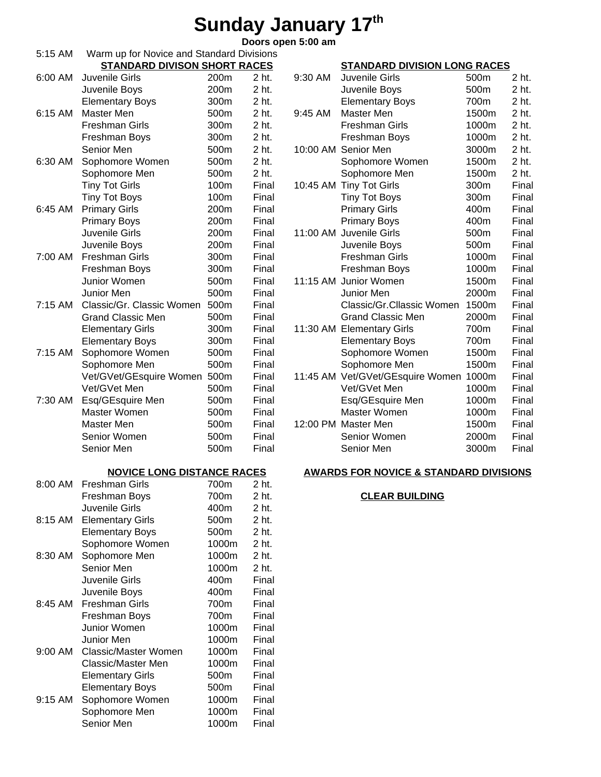## **Sunday January 17th**

**Doors open 5:00 am**

| 5:15 AM   | Warm up for Novice and Standard Divisions |       |       |         |                                                   |       |       |
|-----------|-------------------------------------------|-------|-------|---------|---------------------------------------------------|-------|-------|
|           | <b>STANDARD DIVISON SHORT RACES</b>       |       |       |         | <b>STANDARD DIVISION LONG RACES</b>               |       |       |
| 6:00 AM   | Juvenile Girls                            | 200m  | 2 ht. | 9:30 AM | Juvenile Girls                                    | 500m  | 2 ht. |
|           | Juvenile Boys                             | 200m  | 2 ht. |         | Juvenile Boys                                     | 500m  | 2 ht. |
|           | <b>Elementary Boys</b>                    | 300m  | 2 ht. |         | <b>Elementary Boys</b>                            | 700m  | 2 ht. |
| 6:15 AM   | Master Men                                | 500m  | 2 ht. | 9:45 AM | Master Men                                        | 1500m | 2 ht. |
|           | <b>Freshman Girls</b>                     | 300m  | 2 ht. |         | <b>Freshman Girls</b>                             | 1000m | 2 ht. |
|           | Freshman Boys                             | 300m  | 2 ht. |         | Freshman Boys                                     | 1000m | 2 ht. |
|           |                                           | 500m  | 2 ht. |         |                                                   | 3000m | 2 ht. |
|           | Senior Men                                |       |       |         | 10:00 AM Senior Men                               |       |       |
| 6:30 AM   | Sophomore Women                           | 500m  | 2 ht. |         | Sophomore Women                                   | 1500m | 2 ht. |
|           | Sophomore Men                             | 500m  | 2 ht. |         | Sophomore Men                                     | 1500m | 2 ht. |
|           | <b>Tiny Tot Girls</b>                     | 100m  | Final |         | 10:45 AM Tiny Tot Girls                           | 300m  | Final |
|           | <b>Tiny Tot Boys</b>                      | 100m  | Final |         | <b>Tiny Tot Boys</b>                              | 300m  | Final |
| 6:45 AM   | <b>Primary Girls</b>                      | 200m  | Final |         | <b>Primary Girls</b>                              | 400m  | Final |
|           | <b>Primary Boys</b>                       | 200m  | Final |         | <b>Primary Boys</b>                               | 400m  | Final |
|           | Juvenile Girls                            | 200m  | Final |         | 11:00 AM Juvenile Girls                           | 500m  | Final |
|           | Juvenile Boys                             | 200m  | Final |         | Juvenile Boys                                     | 500m  | Final |
| 7:00 AM   | Freshman Girls                            | 300m  | Final |         | <b>Freshman Girls</b>                             | 1000m | Final |
|           | Freshman Boys                             | 300m  | Final |         | Freshman Boys                                     | 1000m | Final |
|           | Junior Women                              | 500m  | Final |         | 11:15 AM Junior Women                             | 1500m | Final |
|           | Junior Men                                | 500m  | Final |         | Junior Men                                        | 2000m | Final |
| $7:15$ AM | Classic/Gr. Classic Women                 | 500m  | Final |         | Classic/Gr.Cllassic Women                         | 1500m | Final |
|           | <b>Grand Classic Men</b>                  | 500m  | Final |         | <b>Grand Classic Men</b>                          | 2000m | Final |
|           | <b>Elementary Girls</b>                   | 300m  | Final |         | 11:30 AM Elementary Girls                         | 700m  | Final |
|           | <b>Elementary Boys</b>                    | 300m  | Final |         | <b>Elementary Boys</b>                            | 700m  | Final |
| 7:15 AM   | Sophomore Women                           | 500m  | Final |         | Sophomore Women                                   | 1500m | Final |
|           | Sophomore Men                             | 500m  | Final |         | Sophomore Men                                     | 1500m | Final |
|           | Vet/GVet/GEsquire Women                   | 500m  | Final |         | 11:45 AM Vet/GVet/GEsquire Women                  | 1000m | Final |
|           | Vet/GVet Men                              | 500m  | Final |         | Vet/GVet Men                                      | 1000m | Final |
| 7:30 AM   | Esq/GEsquire Men                          | 500m  | Final |         | Esq/GEsquire Men                                  | 1000m | Final |
|           | Master Women                              | 500m  | Final |         | Master Women                                      | 1000m | Final |
|           | Master Men                                | 500m  | Final |         | 12:00 PM Master Men                               | 1500m | Final |
|           | Senior Women                              | 500m  | Final |         | Senior Women                                      | 2000m | Final |
|           | Senior Men                                | 500m  | Final |         | Senior Men                                        | 3000m | Final |
|           |                                           |       |       |         |                                                   |       |       |
|           | <b>NOVICE LONG DISTANCE RACES</b>         |       |       |         | <b>AWARDS FOR NOVICE &amp; STANDARD DIVISIONS</b> |       |       |
| 8:00 AM   | Freshman Girls                            | 700m  | 2 ht. |         |                                                   |       |       |
|           | Freshman Boys                             | 700m  | 2 ht. |         | <b>CLEAR BUILDING</b>                             |       |       |
|           | Juvenile Girls                            | 400m  | 2 ht. |         |                                                   |       |       |
|           |                                           |       |       |         |                                                   |       |       |
| 8:15 AM   | <b>Elementary Girls</b>                   | 500m  | 2 ht. |         |                                                   |       |       |
|           | <b>Elementary Boys</b>                    | 500m  | 2 ht. |         |                                                   |       |       |
|           | Sophomore Women                           | 1000m | 2 ht. |         |                                                   |       |       |
| 8:30 AM   | Sophomore Men                             | 1000m | 2 ht. |         |                                                   |       |       |
|           | Senior Men                                | 1000m | 2 ht. |         |                                                   |       |       |
|           | Juvenile Girls                            | 400m  | Final |         |                                                   |       |       |
|           | Juvenile Boys                             | 400m  | Final |         |                                                   |       |       |
| 8:45 AM   | Freshman Girls                            | 700m  | Final |         |                                                   |       |       |
|           | Freshman Boys                             | 700m  | Final |         |                                                   |       |       |
|           | Junior Women                              | 1000m | Final |         |                                                   |       |       |
|           | Junior Men                                | 1000m | Final |         |                                                   |       |       |
| 9:00 AM   | <b>Classic/Master Women</b>               | 1000m | Final |         |                                                   |       |       |
|           | <b>Classic/Master Men</b>                 | 1000m | Final |         |                                                   |       |       |
|           | <b>Elementary Girls</b>                   | 500m  | Final |         |                                                   |       |       |
|           | <b>Elementary Boys</b>                    | 500m  | Final |         |                                                   |       |       |
| 9:15 AM   | Sophomore Women                           | 1000m | Final |         |                                                   |       |       |
|           | Sophomore Men                             | 1000m | Final |         |                                                   |       |       |
|           | Senior Men                                | 1000m | Final |         |                                                   |       |       |
|           |                                           |       |       |         |                                                   |       |       |